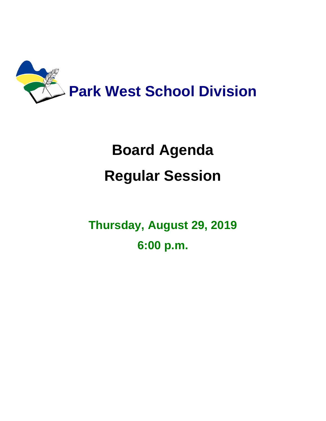

## **Board Agenda Regular Session**

**Thursday, August 29, 2019 6:00 p.m.**